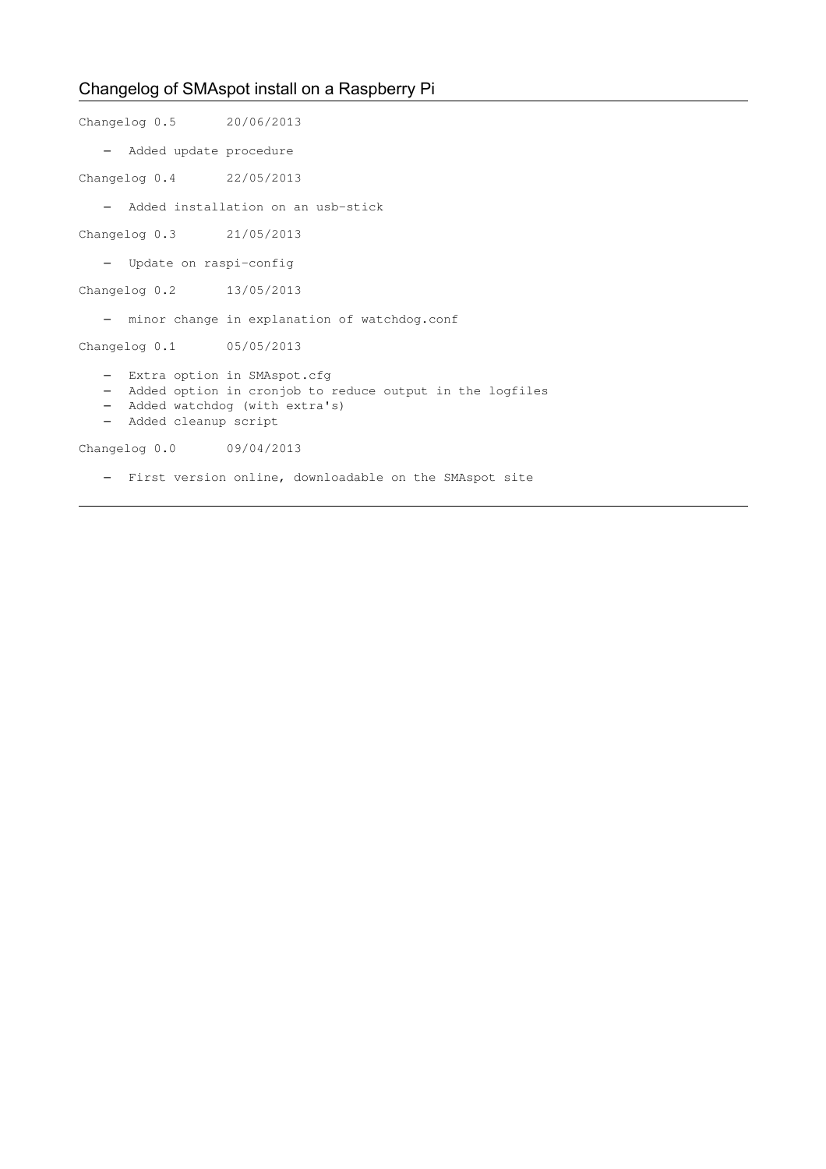## Changelog of SMAspot install on a Raspberry Pi

Changelog 0.5 20/06/2013

- Added update procedure
- Changelog 0.4 22/05/2013
	- Added installation on an usb-stick
- Changelog 0.3 21/05/2013
	- Update on raspi-config
- Changelog 0.2 13/05/2013
	- minor change in explanation of watchdog.conf

Changelog 0.1 05/05/2013

- Extra option in SMAspot.cfg
- Added option in cronjob to reduce output in the logfiles
- Added watchdog (with extra's)
- Added cleanup script

Changelog 0.0 09/04/2013

– First version online, downloadable on the SMAspot site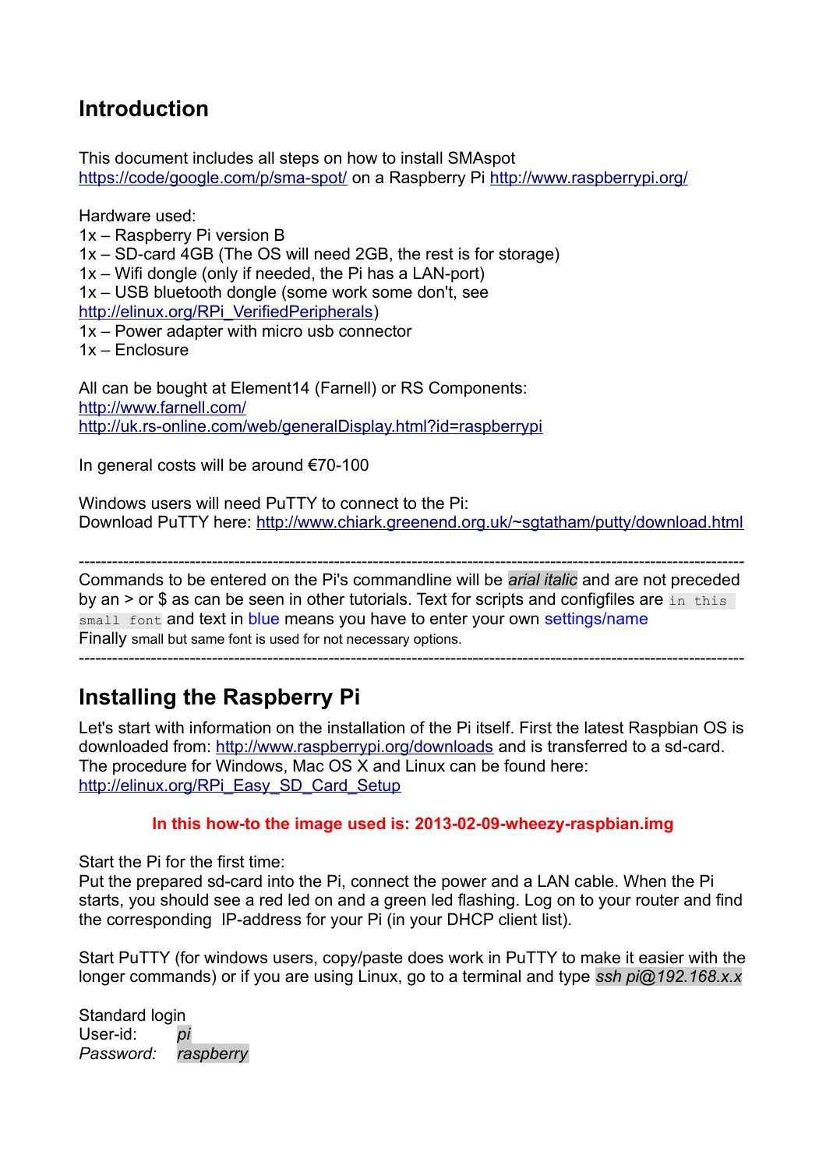# **Introduction**

This document includes all steps on how to install SMAspot <https://code/google.com/p/sma-spot/>on a Raspberry Pi<http://www.raspberrypi.org/>

Hardware used: 1x – Raspberry Pi version B 1x – SD-card 4GB (The OS will need 2GB, the rest is for storage) 1x – Wifi dongle (only if needed, the Pi has a LAN-port) 1x – USB bluetooth dongle (some work some don't, see [http://elinux.org/RPi\\_VerifiedPeripherals\)](http://elinux.org/RPi_VerifiedPeripherals) 1x – Power adapter with micro usb connector 1x – Enclosure

All can be bought at Element14 (Farnell) or RS Components: <http://www.farnell.com/> <http://uk.rs-online.com/web/generalDisplay.html?id=raspberrypi>

In general costs will be around €70-100

Windows users will need PuTTY to connect to the Pi: Download PuTTY here:<http://www.chiark.greenend.org.uk/~sgtatham/putty/download.html>

------------------------------------------------------------------------------------------------------------------------ Commands to be entered on the Pi's commandline will be *arial italic* and are not preceded by an  $>$  or \$ as can be seen in other tutorials. Text for scripts and configfiles are in this small font and text in blue means you have to enter your own settings/name Finally small but same font is used for not necessary options. ------------------------------------------------------------------------------------------------------------------------

## **Installing the Raspberry Pi**

Let's start with information on the installation of the Pi itself. First the latest Raspbian OS is downloaded from:<http://www.raspberrypi.org/downloads>and is transferred to a sd-card. The procedure for Windows, Mac OS X and Linux can be found here: [http://elinux.org/RPi\\_Easy\\_SD\\_Card\\_Setup](http://elinux.org/RPi_Easy_SD_Card_Setup)

## **In this how-to the image used is: 2013-02-09-wheezy-raspbian.img**

Start the Pi for the first time:

Put the prepared sd-card into the Pi, connect the power and a LAN cable. When the Pi starts, you should see a red led on and a green led flashing. Log on to your router and find the corresponding IP-address for your Pi (in your DHCP client list).

Start PuTTY (for windows users, copy/paste does work in PuTTY to make it easier with the longer commands) or if you are using Linux, go to a terminal and type *ssh pi@192.168.x.x*

Standard login User-id: *pi Password: raspberry*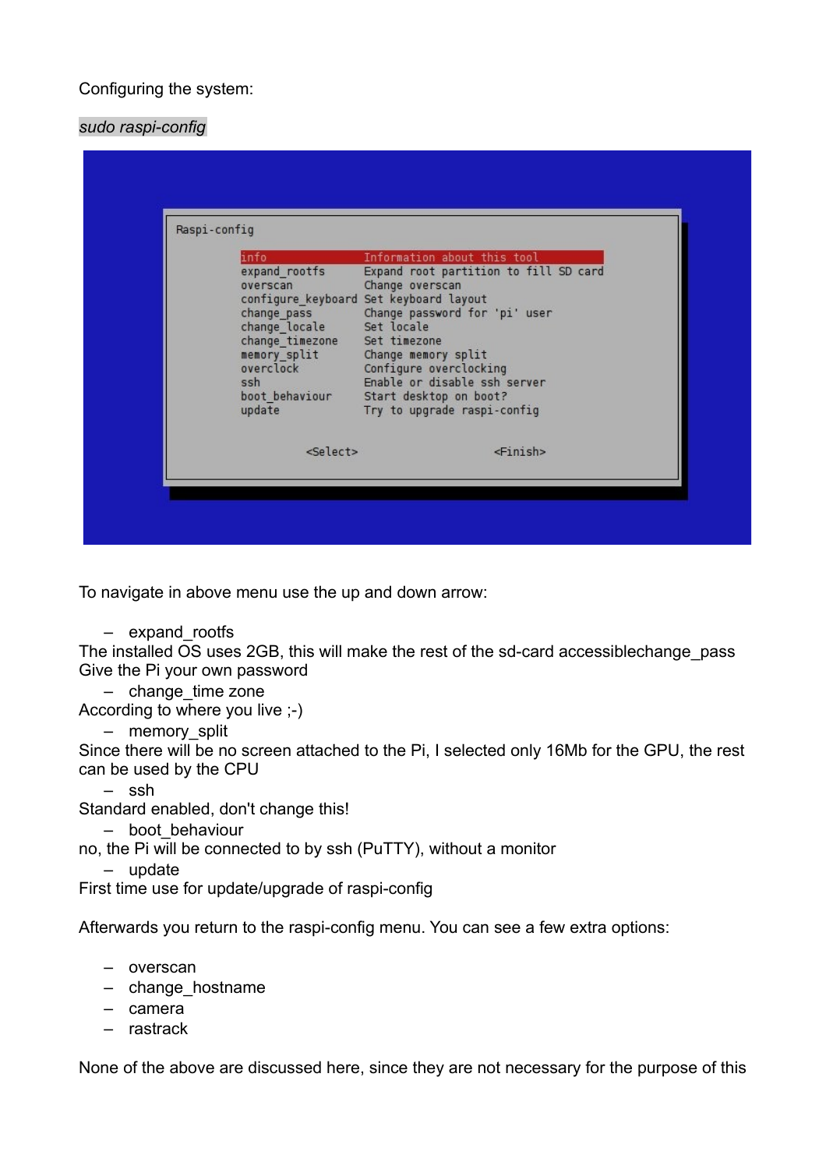## Configuring the system:

## *sudo raspi-config*

| Raspi-config |                                                                                                                                                      |                                                                                                                                                                                                                                                                                                                                            |
|--------------|------------------------------------------------------------------------------------------------------------------------------------------------------|--------------------------------------------------------------------------------------------------------------------------------------------------------------------------------------------------------------------------------------------------------------------------------------------------------------------------------------------|
|              | info<br>expand rootfs<br>overscan<br>change pass<br>change locale<br>change_timezone<br>memory split<br>overclock<br>ssh<br>boot behaviour<br>update | Information about this tool<br>Expand root partition to fill SD card<br>Change overscan<br>configure keyboard Set keyboard layout<br>Change password for 'pi' user<br>Set locale<br>Set timezone<br>Change memory split<br>Configure overclocking<br>Enable or disable ssh server<br>Start desktop on boot?<br>Try to upgrade raspi-config |
|              | <select></select>                                                                                                                                    | <finish></finish>                                                                                                                                                                                                                                                                                                                          |

To navigate in above menu use the up and down arrow:

```
– expand_rootfs
```
The installed OS uses 2GB, this will make the rest of the sd-card accessiblechange\_pass Give the Pi your own password

– change\_time zone

```
According to where you live ;-)
```

```
– memory_split
```
Since there will be no screen attached to the Pi, I selected only 16Mb for the GPU, the rest can be used by the CPU

– ssh

Standard enabled, don't change this!

- boot\_behaviour
- no, the Pi will be connected to by ssh (PuTTY), without a monitor

– update

First time use for update/upgrade of raspi-config

Afterwards you return to the raspi-config menu. You can see a few extra options:

- overscan
- change\_hostname
- camera
- rastrack

None of the above are discussed here, since they are not necessary for the purpose of this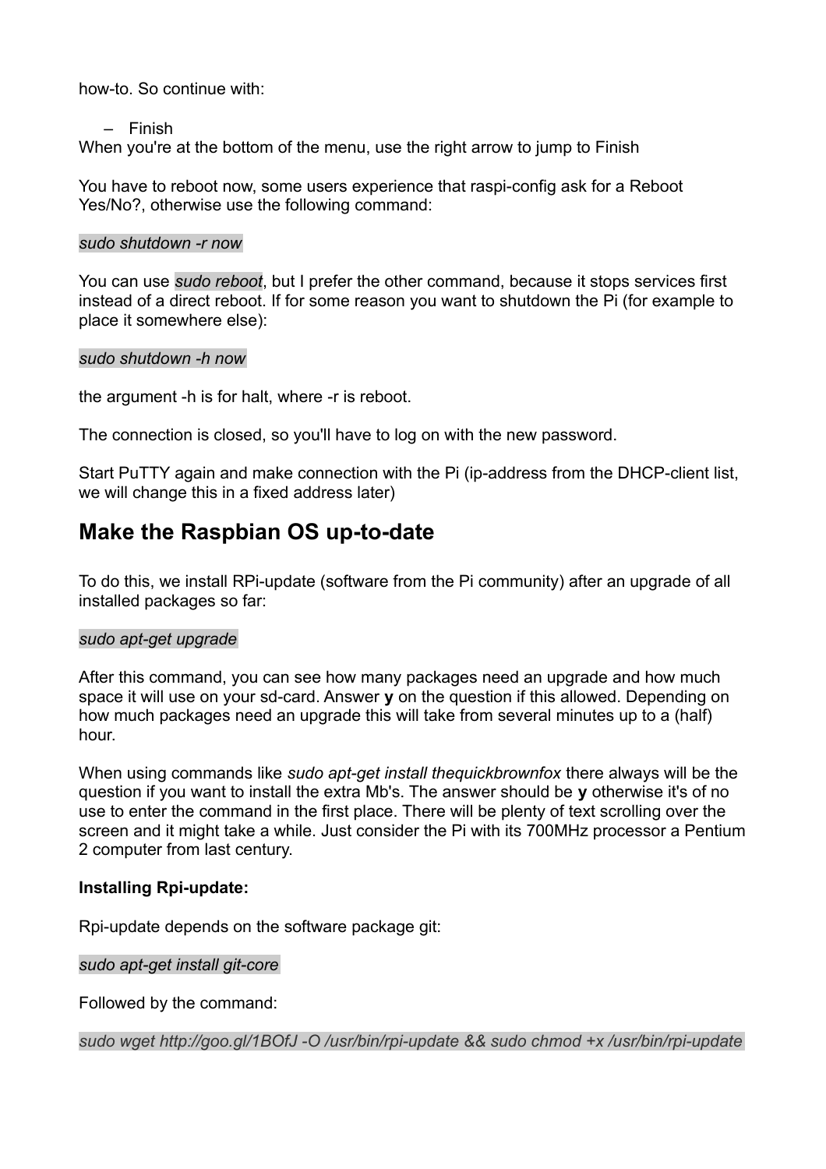how-to. So continue with:

– Finish

When you're at the bottom of the menu, use the right arrow to jump to Finish

You have to reboot now, some users experience that raspi-config ask for a Reboot Yes/No?, otherwise use the following command:

### *sudo shutdown -r now*

You can use *sudo reboot*, but I prefer the other command, because it stops services first instead of a direct reboot. If for some reason you want to shutdown the Pi (for example to place it somewhere else):

## *sudo shutdown -h now*

the argument -h is for halt, where -r is reboot.

The connection is closed, so you'll have to log on with the new password.

Start PuTTY again and make connection with the Pi (ip-address from the DHCP-client list, we will change this in a fixed address later)

## **Make the Raspbian OS up-to-date**

To do this, we install RPi-update (software from the Pi community) after an upgrade of all installed packages so far:

## *sudo apt-get upgrade*

After this command, you can see how many packages need an upgrade and how much space it will use on your sd-card. Answer **y** on the question if this allowed. Depending on how much packages need an upgrade this will take from several minutes up to a (half) hour.

When using commands like *sudo apt-get install thequickbrownfox* there always will be the question if you want to install the extra Mb's. The answer should be **y** otherwise it's of no use to enter the command in the first place. There will be plenty of text scrolling over the screen and it might take a while. Just consider the Pi with its 700MHz processor a Pentium 2 computer from last century.

## **Installing Rpi-update:**

Rpi-update depends on the software package git:

*sudo apt-get install git-core*

Followed by the command:

*sudo wget http://goo.gl/1BOfJ -O /usr/bin/rpi-update && sudo chmod +x /usr/bin/rpi-update*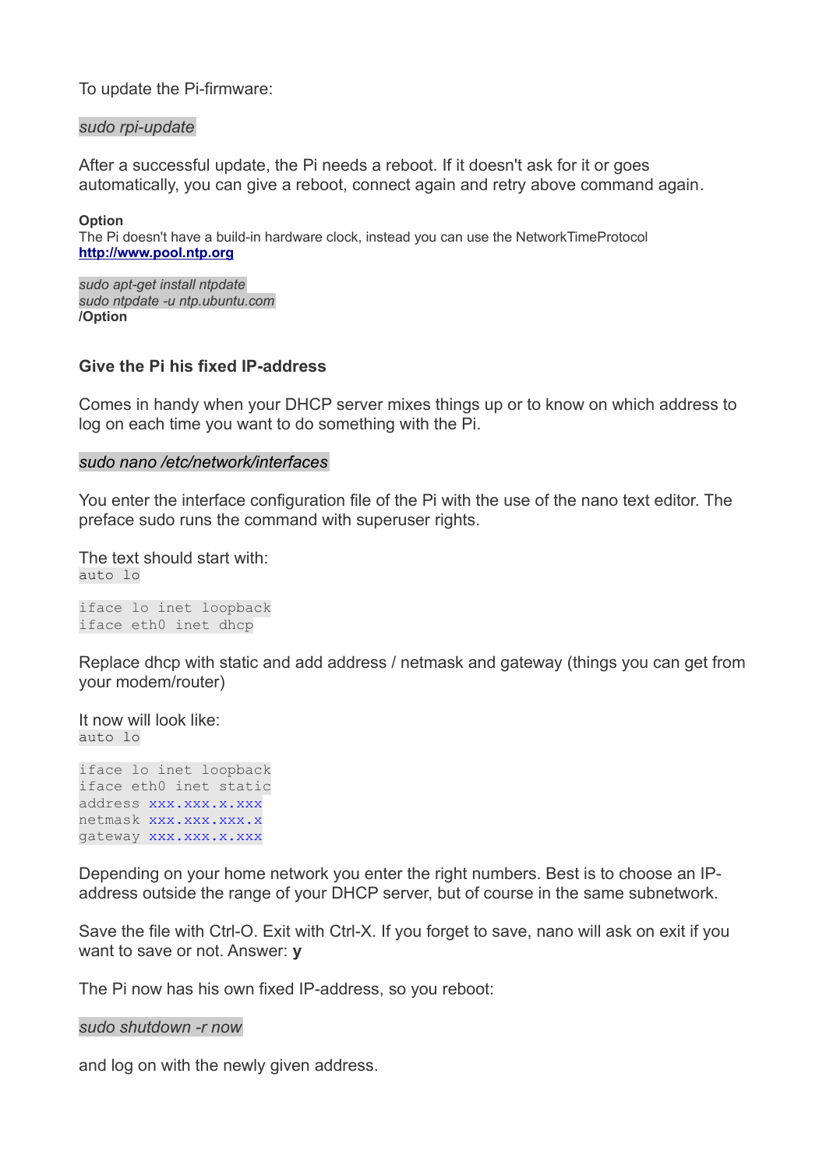To update the Pi-firmware:

#### *sudo rpi-update*

After a successful update, the Pi needs a reboot. If it doesn't ask for it or goes automatically, you can give a reboot, connect again and retry above command again*.*

**Option** The Pi doesn't have a build-in hardware clock, instead you can use the NetworkTimeProtocol **[http://www.pool.ntp.org](http://www.pool.ntp.org/)**

*sudo apt-get install ntpdate sudo ntpdate -u ntp.ubuntu.com* **/Option**

#### **Give the Pi his fixed IP-address**

Comes in handy when your DHCP server mixes things up or to know on which address to log on each time you want to do something with the Pi.

#### *sudo nano /etc/network/interfaces*

You enter the interface configuration file of the Pi with the use of the nano text editor. The preface sudo runs the command with superuser rights.

The text should start with: auto lo

iface lo inet loopback iface eth0 inet dhcp

Replace dhcp with static and add address / netmask and gateway (things you can get from your modem/router)

It now will look like: auto lo

iface lo inet loopback iface eth0 inet static address xxx.xxx.x.xxx netmask xxx.xxx.xxx.x gateway xxx.xxx.x.xxx

Depending on your home network you enter the right numbers. Best is to choose an IPaddress outside the range of your DHCP server, but of course in the same subnetwork.

Save the file with Ctrl-O. Exit with Ctrl-X. If you forget to save, nano will ask on exit if you want to save or not. Answer: **y**

The Pi now has his own fixed IP-address, so you reboot:

#### *sudo shutdown -r now*

and log on with the newly given address.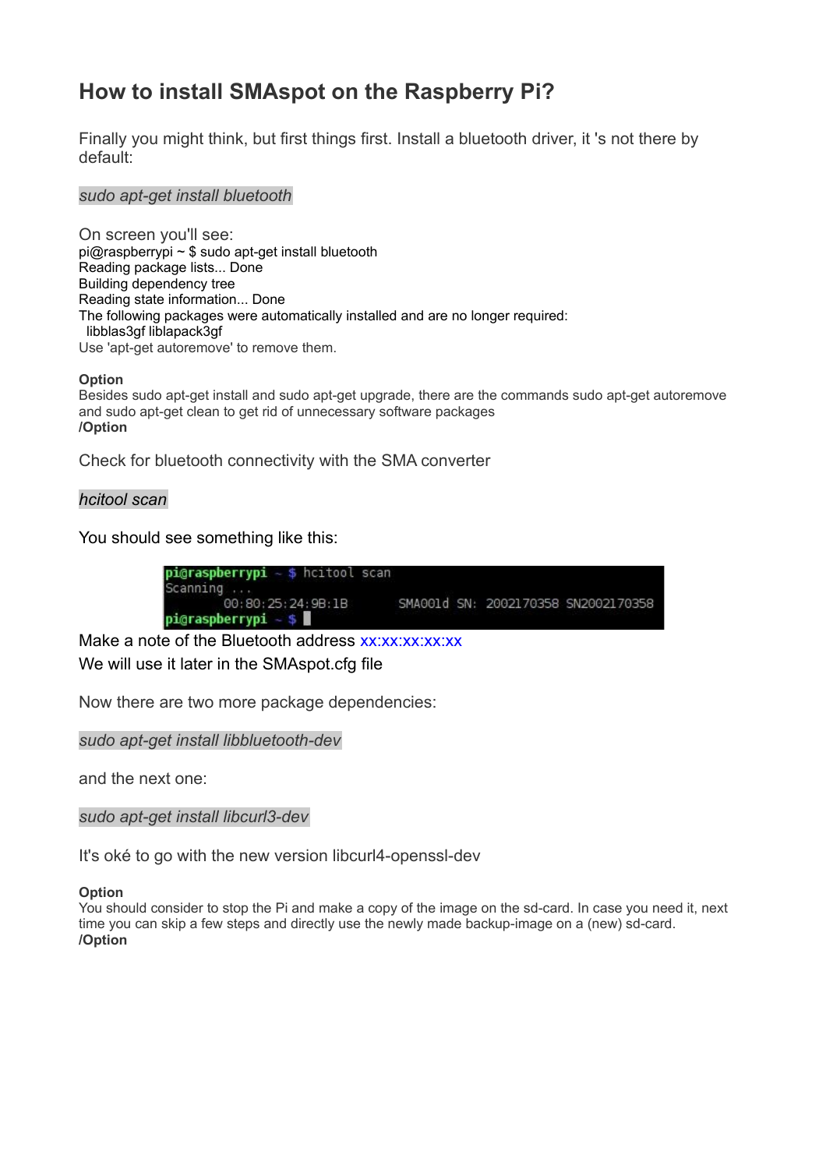# **How to install SMAspot on the Raspberry Pi?**

Finally you might think, but first things first. Install a bluetooth driver, it 's not there by default:

*sudo apt-get install bluetooth*

On screen you'll see: pi@raspberrypi ~ \$ sudo apt-get install bluetooth Reading package lists... Done Building dependency tree Reading state information... Done The following packages were automatically installed and are no longer required: libblas3gf liblapack3gf Use 'apt-get autoremove' to remove them.

**Option**

Besides sudo apt-get install and sudo apt-get upgrade, there are the commands sudo apt-get autoremove and sudo apt-get clean to get rid of unnecessary software packages **/Option**

Check for bluetooth connectivity with the SMA converter

#### *hcitool scan*

You should see something like this:

 $pi$ graspberrypi ~ \$ hcitool scan Scanning ... 00:80:25:24:9B:1B SMA001d SN: 2002170358 SN2002170358  $pi$ graspberrypi ~ \$

Make a note of the Bluetooth address xx:xx:xx:xx:xx We will use it later in the SMAspot.cfg file

Now there are two more package dependencies:

*sudo apt-get install libbluetooth-dev*

and the next one:

*sudo apt-get install libcurl3-dev*

It's oké to go with the new version libcurl4-openssl-dev

#### **Option**

You should consider to stop the Pi and make a copy of the image on the sd-card. In case you need it, next time you can skip a few steps and directly use the newly made backup-image on a (new) sd-card. **/Option**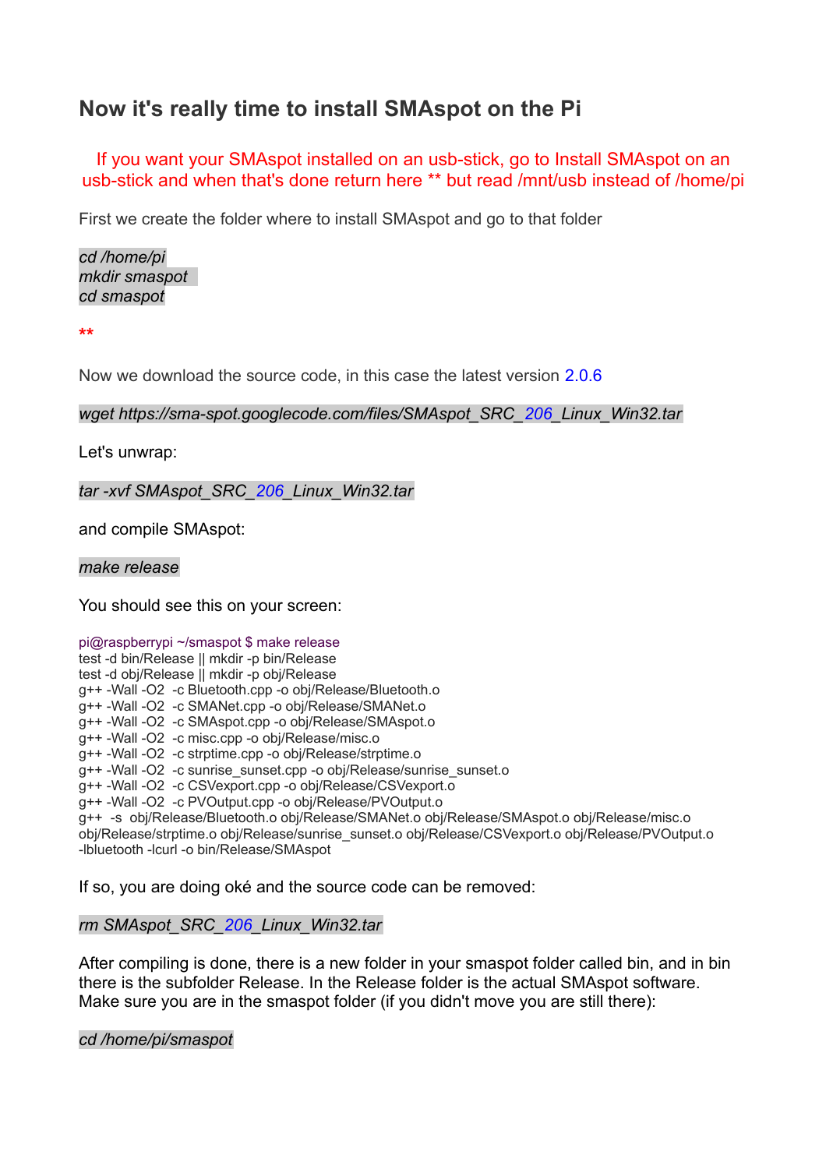## **Now it's really time to install SMAspot on the Pi**

If you want your SMAspot installed on an usb-stick, go to Install SMAspot on an usb-stick and when that's done return here \*\* but read /mnt/usb instead of /home/pi

First we create the folder where to install SMAspot and go to that folder

*cd /home/pi mkdir smaspot cd smaspot*

**\*\***

Now we download the source code, in this case the latest version 2.0.6

*wget https://sma-spot.googlecode.com/files/SMAspot\_SRC\_206\_Linux\_Win32.tar*

Let's unwrap:

*tar -xvf SMAspot\_SRC\_206\_Linux\_Win32.tar*

and compile SMAspot:

*make release*

You should see this on your screen:

#### pi@raspberrypi ~/smaspot \$ make release

- test -d bin/Release || mkdir -p bin/Release
- test -d obj/Release || mkdir -p obj/Release
- g++ -Wall -O2 -c Bluetooth.cpp -o obj/Release/Bluetooth.o
- g++ -Wall -O2 -c SMANet.cpp -o obj/Release/SMANet.o
- g++ -Wall -O2 -c SMAspot.cpp -o obj/Release/SMAspot.o
- g++ -Wall -O2 -c misc.cpp -o obj/Release/misc.o
- g++ -Wall -O2 -c strptime.cpp -o obj/Release/strptime.o
- g++ -Wall -O2 -c sunrise\_sunset.cpp -o obj/Release/sunrise\_sunset.o
- g++ -Wall -O2 -c CSVexport.cpp -o obj/Release/CSVexport.o
- g++ -Wall -O2 -c PVOutput.cpp -o obj/Release/PVOutput.o

g++ -s obj/Release/Bluetooth.o obj/Release/SMANet.o obj/Release/SMAspot.o obj/Release/misc.o obj/Release/strptime.o obj/Release/sunrise\_sunset.o obj/Release/CSVexport.o obj/Release/PVOutput.o -lbluetooth -lcurl -o bin/Release/SMAspot

If so, you are doing oké and the source code can be removed:

#### *rm SMAspot\_SRC\_206\_Linux\_Win32.tar*

After compiling is done, there is a new folder in your smaspot folder called bin, and in bin there is the subfolder Release. In the Release folder is the actual SMAspot software. Make sure you are in the smaspot folder (if you didn't move you are still there):

*cd /home/pi/smaspot*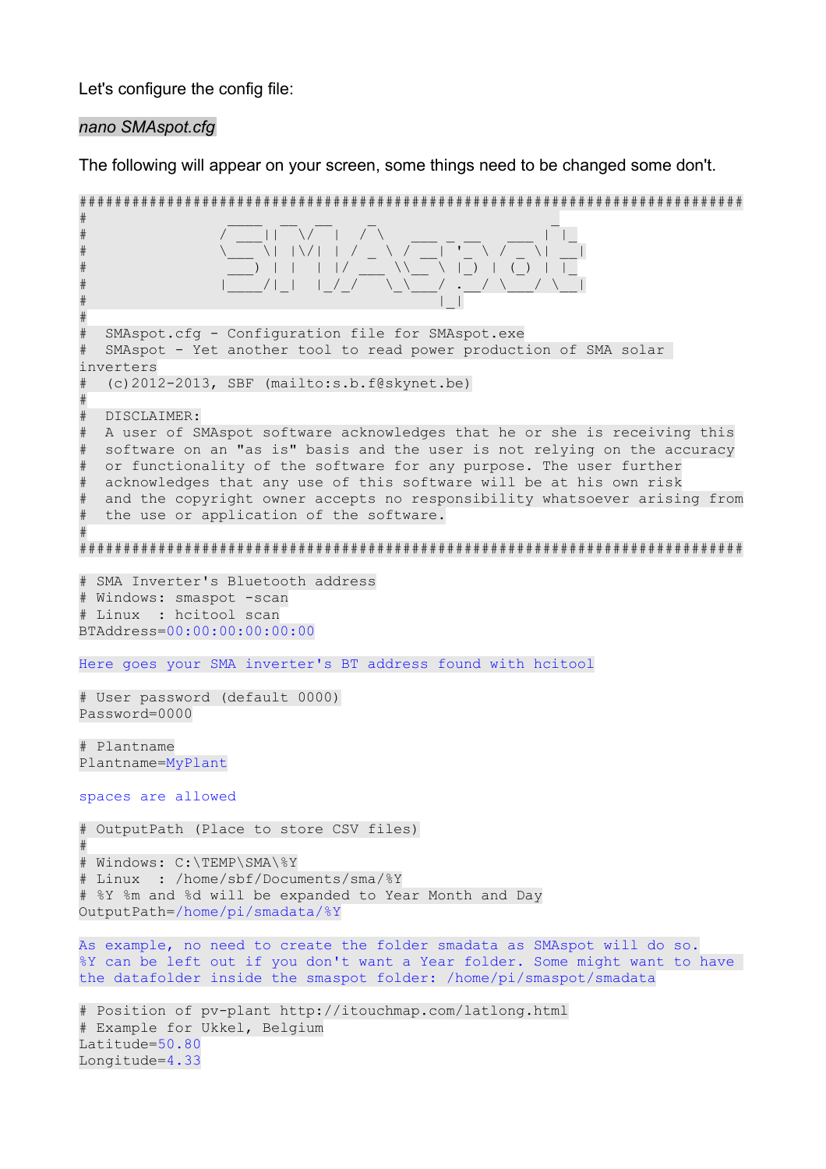Let's configure the config file:

#### *nano SMAspot.cfg*

The following will appear on your screen, some things need to be changed some don't.

############################################################################ # \_\_\_\_ \_\_ \_\_ \_ \_ # / \_\_\_|| \/ | / \ \_\_\_ \_ \_\_ \_\_\_ | |\_ #  $\lambda_{\text{max}} = \lambda_{\text{max}} + \lambda_{\text{max}} + \lambda_{\text{max}} + \lambda_{\text{max}} + \lambda_{\text{max}} + \lambda_{\text{max}} + \lambda_{\text{max}} + \lambda_{\text{max}} + \lambda_{\text{max}} + \lambda_{\text{max}} + \lambda_{\text{max}} + \lambda_{\text{max}} + \lambda_{\text{max}} + \lambda_{\text{max}} + \lambda_{\text{max}} + \lambda_{\text{max}} + \lambda_{\text{max}} + \lambda_{\text{max}} + \lambda_{\text{max}} + \lambda_{\text{max}} + \lambda_{\text{max}} + \lambda_{\text{max}} + \lambda_{\text{max}} + \lambda_{$  $\#$   $)$   $|$   $|$   $|$   $\lambda$   $\lambda$   $|$   $|$   $|$   $\lambda$   $\lambda$   $|$   $|$   $|$   $|$ # |\_\_\_\_/|\_| |\_/\_/ \\_\\_\_\_/ .\_\_/ \\_\_\_/ \\_\_|  $\#$   $\Box$ # # SMAspot.cfg - Configuration file for SMAspot.exe # SMAspot - Yet another tool to read power production of SMA solar inverters # (c)2012-2013, SBF (mailto:s.b.f@skynet.be) # # DISCLAIMER: # A user of SMAspot software acknowledges that he or she is receiving this # software on an "as is" basis and the user is not relying on the accuracy # or functionality of the software for any purpose. The user further # acknowledges that any use of this software will be at his own risk # and the copyright owner accepts no responsibility whatsoever arising from # the use or application of the software. # ############################################################################ # SMA Inverter's Bluetooth address # Windows: smaspot -scan # Linux : hcitool scan BTAddress=00:00:00:00:00:00 Here goes your SMA inverter's BT address found with hcitool # User password (default 0000) Password=0000 # Plantname Plantname=MyPlant spaces are allowed # OutputPath (Place to store CSV files) # # Windows: C:\TEMP\SMA\%Y # Linux : /home/sbf/Documents/sma/%Y # %Y %m and %d will be expanded to Year Month and Day OutputPath=/home/pi/smadata/%Y As example, no need to create the folder smadata as SMAspot will do so. %Y can be left out if you don't want a Year folder. Some might want to have the datafolder inside the smaspot folder: /home/pi/smaspot/smadata # Position of pv-plant http://itouchmap.com/latlong.html # Example for Ukkel, Belgium Latitude=50.80 Longitude=4.33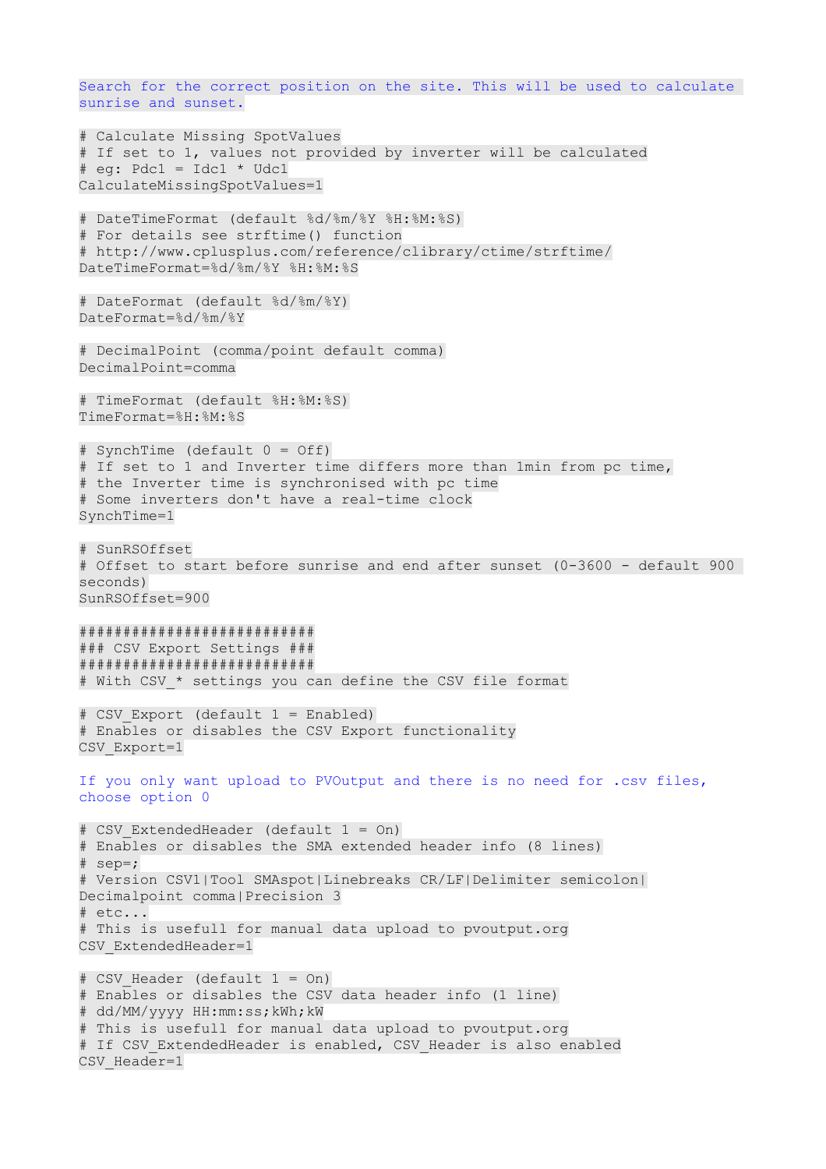Search for the correct position on the site. This will be used to calculate sunrise and sunset. # Calculate Missing SpotValues # If set to 1, values not provided by inverter will be calculated # eg: Pdc1 = Idc1 \* Udc1 CalculateMissingSpotValues=1 # DateTimeFormat (default %d/%m/%Y %H:%M:%S) # For details see strftime() function # http://www.cplusplus.com/reference/clibrary/ctime/strftime/ DateTimeFormat=%d/%m/%Y %H:%M:%S # DateFormat (default %d/%m/%Y) DateFormat=%d/%m/%Y # DecimalPoint (comma/point default comma) DecimalPoint=comma # TimeFormat (default %H:%M:%S) TimeFormat=%H:%M:%S # SynchTime (default 0 = Off) # If set to 1 and Inverter time differs more than 1min from pc time, # the Inverter time is synchronised with pc time # Some inverters don't have a real-time clock SynchTime=1 # SunRSOffset # Offset to start before sunrise and end after sunset (0-3600 - default 900 seconds) SunRSOffset=900 ########################### ### CSV Export Settings ### ########################### # With CSV\_\* settings you can define the CSV file format # CSV\_Export (default 1 = Enabled) # Enables or disables the CSV Export functionality CSV\_Export=1 If you only want upload to PVOutput and there is no need for .csv files, choose option 0 # CSV\_ExtendedHeader (default 1 = On) # Enables or disables the SMA extended header info (8 lines) # sep=; # Version CSV1|Tool SMAspot|Linebreaks CR/LF|Delimiter semicolon| Decimalpoint comma|Precision 3 # etc... # This is usefull for manual data upload to pvoutput.org CSV\_ExtendedHeader=1 # CSV\_Header (default 1 = On) # Enables or disables the CSV data header info (1 line) # dd/MM/yyyy HH:mm:ss;kWh;kW # This is usefull for manual data upload to pvoutput.org # If CSV ExtendedHeader is enabled, CSV Header is also enabled CSV\_Header=1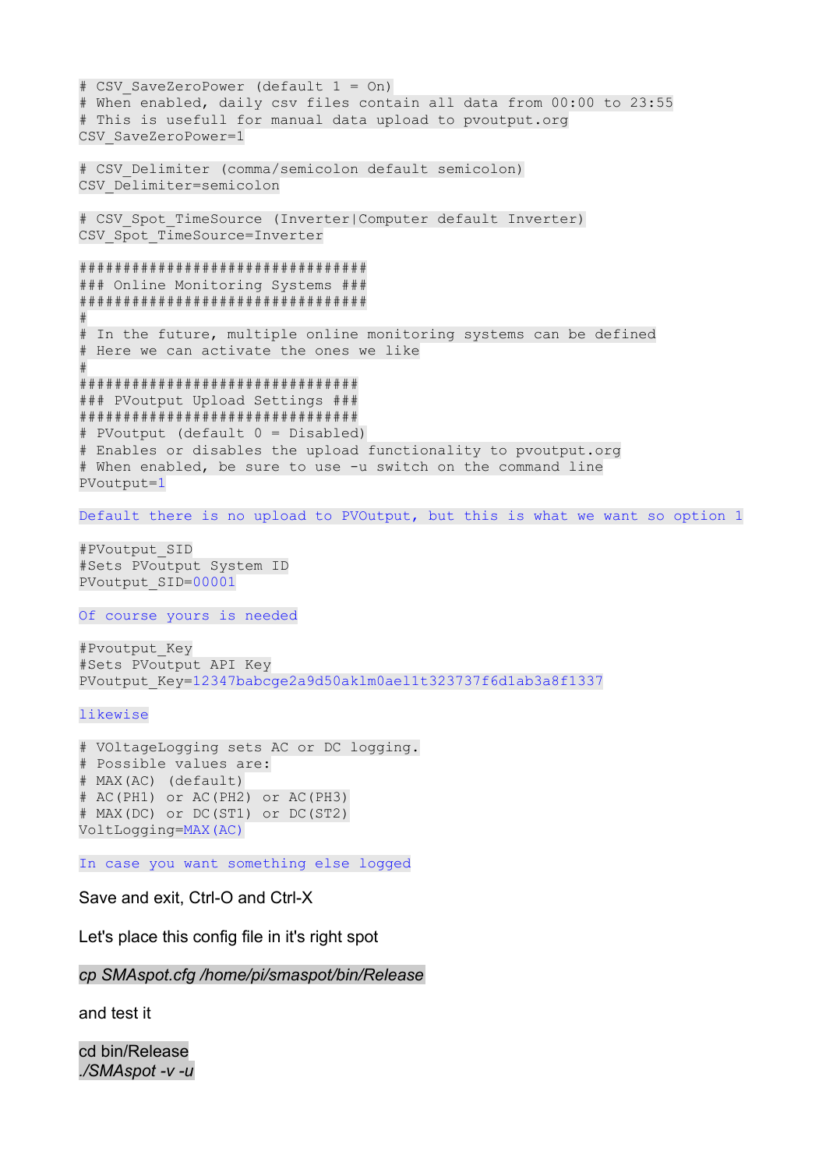```
# CSV_SaveZeroPower (default 1 = On)
# When enabled, daily csv files contain all data from 00:00 to 23:55
# This is usefull for manual data upload to pvoutput.org
CSV_SaveZeroPower=1
# CSV_Delimiter (comma/semicolon default semicolon)
CSV_Delimiter=semicolon
# CSV_Spot_TimeSource (Inverter|Computer default Inverter)
CSV Spot TimeSource=Inverter
#################################
### Online Monitoring Systems ###
#################################
#
# In the future, multiple online monitoring systems can be defined
# Here we can activate the ones we like
#
################################
### PVoutput Upload Settings ###
################################
# PVoutput (default 0 = Disabled)
# Enables or disables the upload functionality to pvoutput.org
# When enabled, be sure to use -u switch on the command line
PVoutput=1
Default there is no upload to PVOutput, but this is what we want so option 1
```
#PVoutput\_SID #Sets PVoutput System ID PVoutput\_SID=00001

Of course yours is needed

#Pvoutput\_Key #Sets PVoutput API Key PVoutput Key=12347babcge2a9d50aklm0ael1t323737f6d1ab3a8f1337

likewise

```
# VOltageLogging sets AC or DC logging.
# Possible values are:
# MAX(AC) (default)
# AC(PH1) or AC(PH2) or AC(PH3)
# MAX(DC) or DC(ST1) or DC(ST2)
VoltLogging=MAX(AC)
```
In case you want something else logged

Save and exit, Ctrl-O and Ctrl-X

Let's place this config file in it's right spot

*cp SMAspot.cfg /home/pi/smaspot/bin/Release*

and test it

cd bin/Release *./SMAspot -v -u*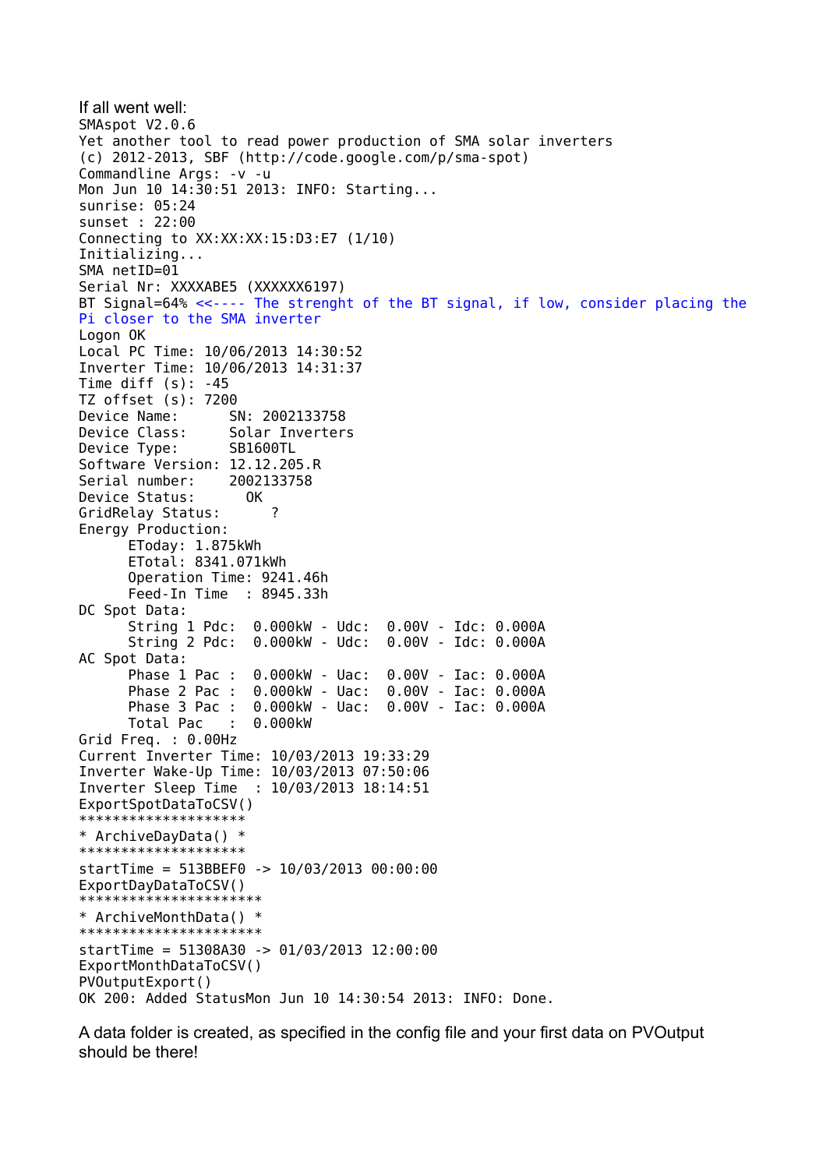```
If all went well:
SMAspot V2.0.6
Yet another tool to read power production of SMA solar inverters
(c) 2012-2013, SBF (http://code.google.com/p/sma-spot)
Commandline Args: -v -u
Mon Jun 10 14:30:51 2013: INFO: Starting...
sunrise: 05:24
sunset : 22:00
Connecting to XX:XX:XX:15:D3:E7 (1/10)
Initializing...
SMA netID=01
Serial Nr: XXXXABE5 (XXXXXX6197)
BT Signal=64% <<---- The strenght of the BT signal, if low, consider placing the
Pi closer to the SMA inverter
Logon OK
Local PC Time: 10/06/2013 14:30:52
Inverter Time: 10/06/2013 14:31:37
Time diff (s): -45TZ offset (s): 7200
Device Name: SN: 2002133758
Device Class: Solar Inverters
Device Type: SB1600TL
Software Version: 12.12.205.R
Serial number: 2002133758
Device Status: OK
GridRelay Status: ?
Energy Production:
      EToday: 1.875kWh
     ETotal: 8341.071kWh
     Operation Time: 9241.46h
     Feed-In Time : 8945.33h
DC Spot Data:
      String 1 Pdc: 0.000kW - Udc: 0.00V - Idc: 0.000A
      String 2 Pdc: 0.000kW - Udc: 0.00V - Idc: 0.000A
AC Spot Data:
     Phase 1 Pac : 0.000kW - Uac: 0.00V - Iac: 0.000A
     Phase 2 Pac : 0.000kW - Uac: 0.00V - Iac: 0.000A
                    0.000kW - Uac: 0.00V - Iac: 0.000A
     Total Pac : 0.000kW
Grid Freq. : 0.00Hz
Current Inverter Time: 10/03/2013 19:33:29
Inverter Wake-Up Time: 10/03/2013 07:50:06
Inverter Sleep Time : 10/03/2013 18:14:51
ExportSpotDataToCSV()
********************
* ArchiveDayData() *
********************
startTime = 513BBEF0 -> 10/03/2013 00:00:00
ExportDayDataToCSV()
**********************
* ArchiveMonthData() *
*******************
startTime = 51308A30 -> 01/03/2013 12:00:00
ExportMonthDataToCSV()
PVOutputExport()
OK 200: Added StatusMon Jun 10 14:30:54 2013: INFO: Done.
```
A data folder is created, as specified in the config file and your first data on PVOutput should be there!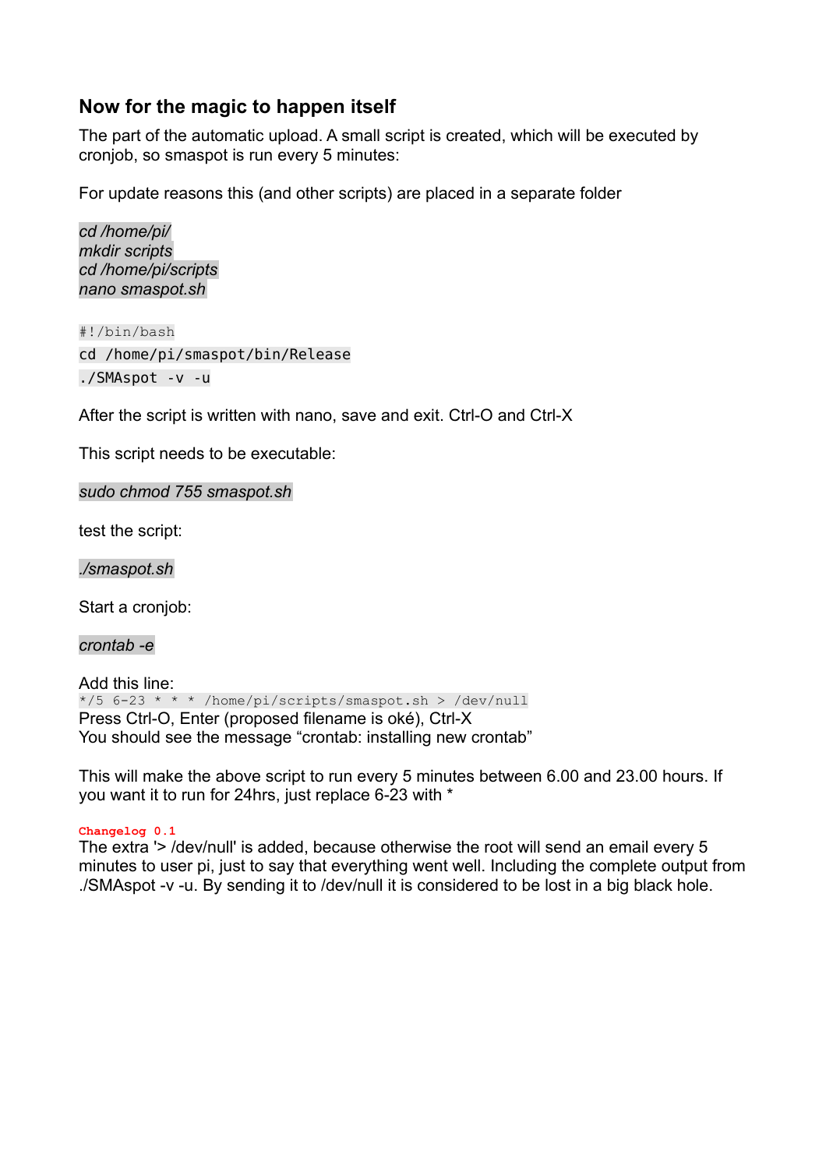## **Now for the magic to happen itself**

The part of the automatic upload. A small script is created, which will be executed by cronjob, so smaspot is run every 5 minutes:

For update reasons this (and other scripts) are placed in a separate folder

*cd /home/pi/ mkdir scripts cd /home/pi/scripts nano smaspot.sh*

#!/bin/bash cd /home/pi/smaspot/bin/Release ./SMAspot -v -u

After the script is written with nano, save and exit. Ctrl-O and Ctrl-X

This script needs to be executable:

*sudo chmod 755 smaspot.sh*

test the script:

*./smaspot.sh*

Start a cronjob:

*crontab -e*

Add this line:  $*/5$  6-23  $*$   $*$  /home/pi/scripts/smaspot.sh > /dev/null Press Ctrl-O, Enter (proposed filename is oké), Ctrl-X You should see the message "crontab: installing new crontab"

This will make the above script to run every 5 minutes between 6.00 and 23.00 hours. If you want it to run for 24hrs, just replace 6-23 with \*

**Changelog 0.1**

The extra '> /dev/null' is added, because otherwise the root will send an email every 5 minutes to user pi, just to say that everything went well. Including the complete output from ./SMAspot -v -u. By sending it to /dev/null it is considered to be lost in a big black hole.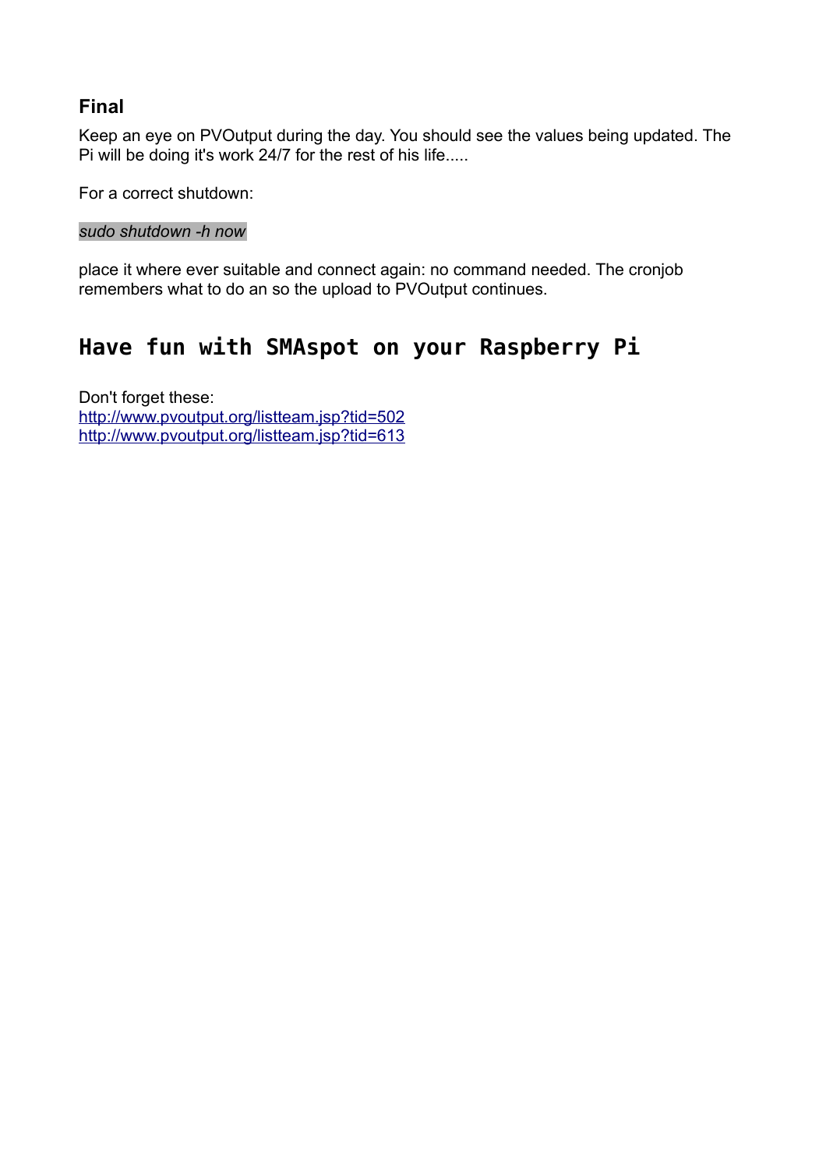## **Final**

Keep an eye on PVOutput during the day. You should see the values being updated. The Pi will be doing it's work 24/7 for the rest of his life.....

For a correct shutdown:

## *sudo shutdown -h now*

place it where ever suitable and connect again: no command needed. The cronjob remembers what to do an so the upload to PVOutput continues.

# **Have fun with SMAspot on your Raspberry Pi**

Don't forget these: <http://www.pvoutput.org/listteam.jsp?tid=502> <http://www.pvoutput.org/listteam.jsp?tid=613>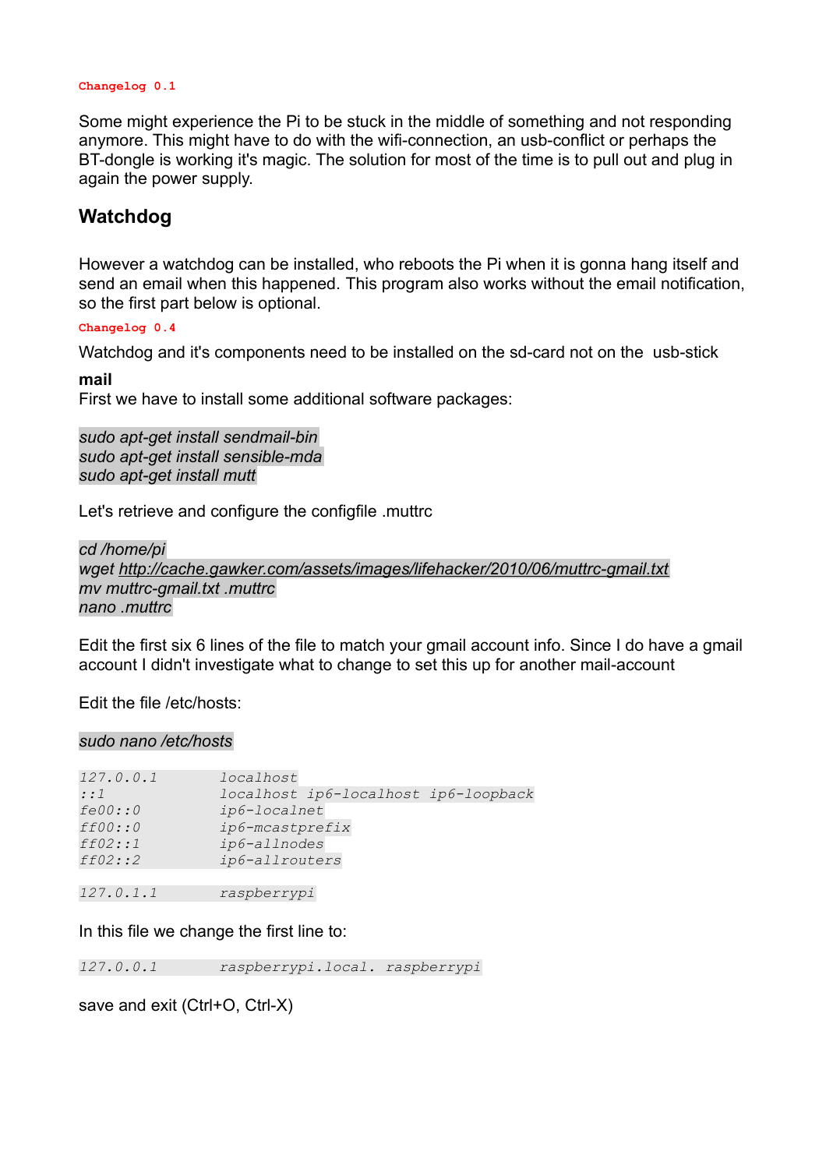#### **Changelog 0.1**

Some might experience the Pi to be stuck in the middle of something and not responding anymore. This might have to do with the wifi-connection, an usb-conflict or perhaps the BT-dongle is working it's magic. The solution for most of the time is to pull out and plug in again the power supply.

## **Watchdog**

However a watchdog can be installed, who reboots the Pi when it is gonna hang itself and send an email when this happened. This program also works without the email notification, so the first part below is optional.

#### **Changelog 0.4**

Watchdog and it's components need to be installed on the sd-card not on the usb-stick

#### **mail**

First we have to install some additional software packages:

*sudo apt-get install sendmail-bin sudo apt-get install sensible-mda sudo apt-get install mutt*

Let's retrieve and configure the configfile .muttrc

*cd /home/pi wget<http://cache.gawker.com/assets/images/lifehacker/2010/06/muttrc-gmail.txt> mv muttrc-gmail.txt .muttrc nano .muttrc*

Edit the first six 6 lines of the file to match your gmail account info. Since I do have a gmail account I didn't investigate what to change to set this up for another mail-account

Edit the file /etc/hosts:

#### *sudo nano /etc/hosts*

| 127.0.0.1 | localhost                            |
|-----------|--------------------------------------|
| : : 1     | localhost ip6-localhost ip6-loopback |
| fe00::0   | ip6-localnet                         |
| ff00::0   | ip6-mcastprefix                      |
| ff02: : 1 | ip6-allnodes                         |
| ff02:2    | ip6-allrouters                       |
|           |                                      |

*127.0.1.1 raspberrypi*

#### In this file we change the first line to:

*127.0.0.1 raspberrypi.local. raspberrypi*

save and exit (Ctrl+O, Ctrl-X)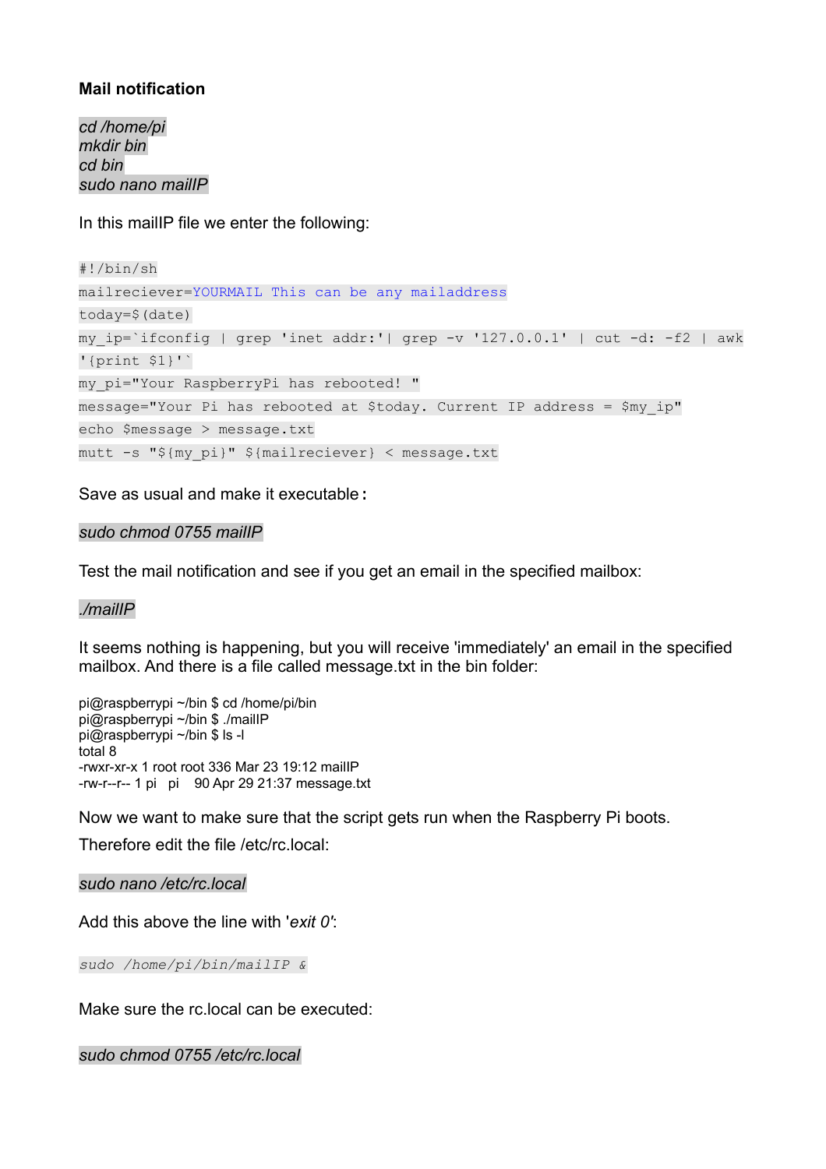## **Mail notification**

*cd /home/pi mkdir bin cd bin sudo nano mailIP*

In this mailIP file we enter the following:

#!/bin/sh mailreciever=YOURMAIL This can be any mailaddress today=\$(date) my ip=`ifconfig | grep 'inet addr:'| grep  $-v$  '127.0.0.1' | cut -d: -f2 | awk '{print \$1}'` my\_pi="Your RaspberryPi has rebooted! " message="Your Pi has rebooted at \$today. Current IP address = \$my\_ip" echo \$message > message.txt mutt -s "\${my\_pi}" \${mailreciever} < message.txt

Save as usual and make it executable:

#### *sudo chmod 0755 mailIP*

Test the mail notification and see if you get an email in the specified mailbox:

#### *./mailIP*

It seems nothing is happening, but you will receive 'immediately' an email in the specified mailbox. And there is a file called message.txt in the bin folder:

pi@raspberrypi ~/bin \$ cd /home/pi/bin pi@raspberrypi ~/bin \$ ./maillP pi@raspberrypi ~/bin \$ ls -l total 8 -rwxr-xr-x 1 root root 336 Mar 23 19:12 mailIP -rw-r--r-- 1 pi pi 90 Apr 29 21:37 message.txt

Now we want to make sure that the script gets run when the Raspberry Pi boots.

Therefore edit the file /etc/rc.local:

#### *sudo nano /etc/rc.local*

Add this above the line with '*exit 0'*:

*sudo /home/pi/bin/mailIP &*

Make sure the rc.local can be executed:

*sudo chmod 0755 /etc/rc.local*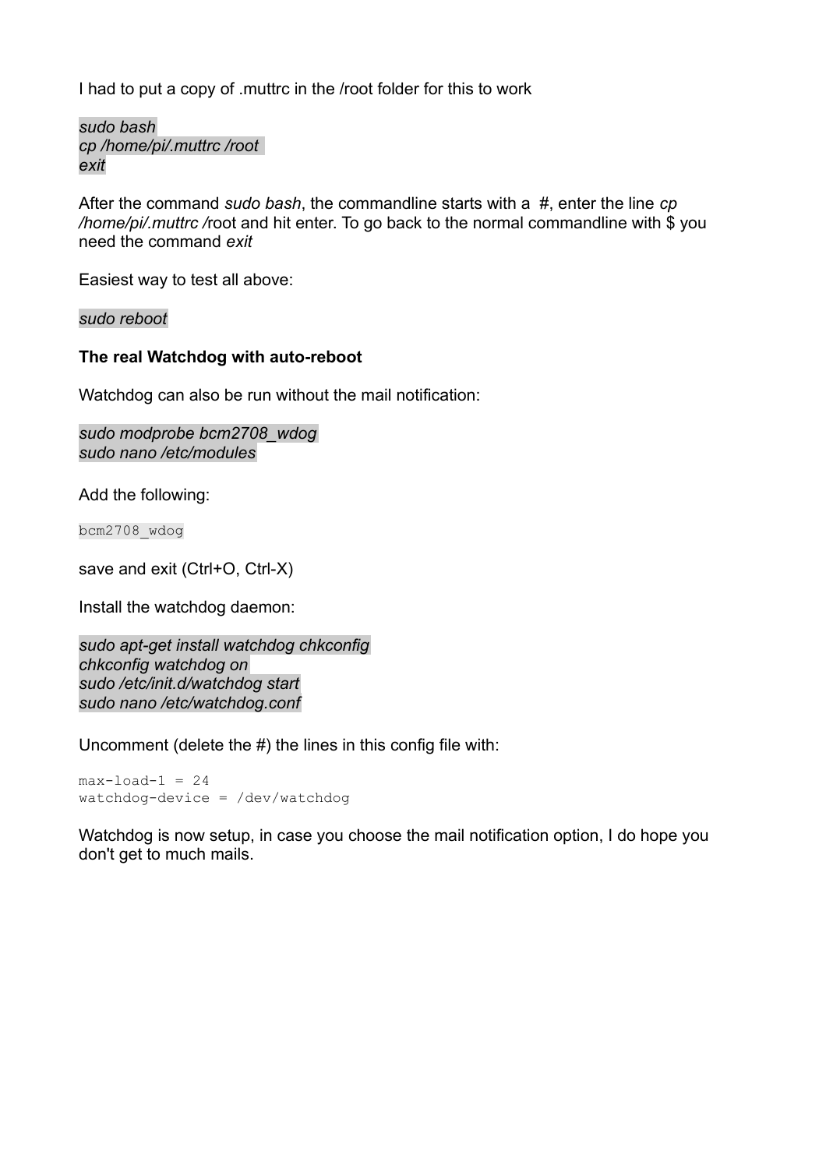I had to put a copy of .muttrc in the /root folder for this to work

*sudo bash cp /home/pi/.muttrc /root exit*

After the command *sudo bash*, the commandline starts with a #, enter the line *cp /home/pi/.muttrc /*root and hit enter. To go back to the normal commandline with \$ you need the command *exit*

Easiest way to test all above:

*sudo reboot*

#### **The real Watchdog with auto-reboot**

Watchdog can also be run without the mail notification:

*sudo modprobe bcm2708\_wdog sudo nano /etc/modules*

Add the following:

bcm2708\_wdog

save and exit (Ctrl+O, Ctrl-X)

Install the watchdog daemon:

*sudo apt-get install watchdog chkconfig chkconfig watchdog on sudo /etc/init.d/watchdog start sudo nano /etc/watchdog.conf*

Uncomment (delete the #) the lines in this config file with:

 $max-load-1 = 24$ watchdog-device = /dev/watchdog

Watchdog is now setup, in case you choose the mail notification option, I do hope you don't get to much mails.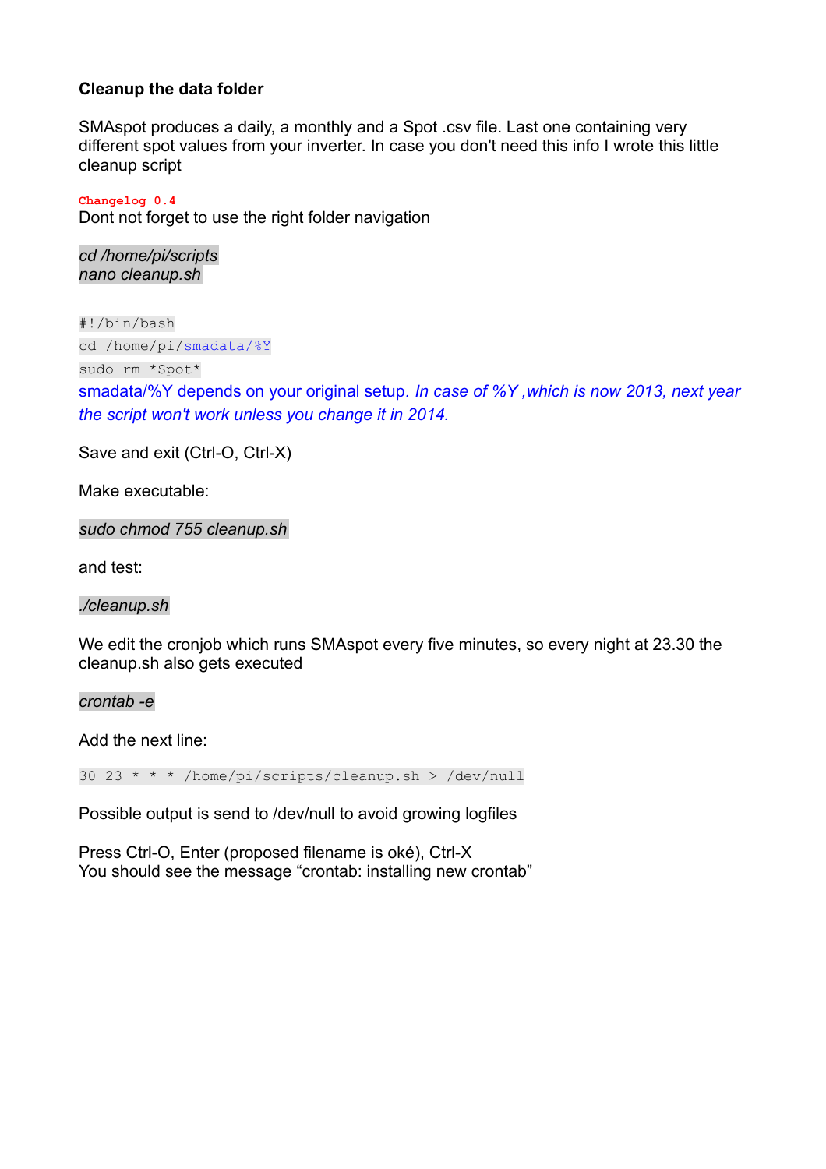## **Cleanup the data folder**

SMAspot produces a daily, a monthly and a Spot .csv file. Last one containing very different spot values from your inverter. In case you don't need this info I wrote this little cleanup script

#### **Changelog 0.4**

Dont not forget to use the right folder navigation

*cd /home/pi/scripts nano cleanup.sh*

#!/bin/bash cd /home/pi/smadata/%Y sudo rm \*Spot\* smadata/%Y depends on your original setup*. In case of %Y ,which is now 2013, next year the script won't work unless you change it in 2014.*

Save and exit (Ctrl-O, Ctrl-X)

Make executable:

*sudo chmod 755 cleanup.sh*

and test:

*./cleanup.sh*

We edit the cronjob which runs SMAspot every five minutes, so every night at 23.30 the cleanup.sh also gets executed

*crontab -e*

Add the next line:

30 23 \* \* \* /home/pi/scripts/cleanup.sh > /dev/null

Possible output is send to /dev/null to avoid growing logfiles

Press Ctrl-O, Enter (proposed filename is oké), Ctrl-X You should see the message "crontab: installing new crontab"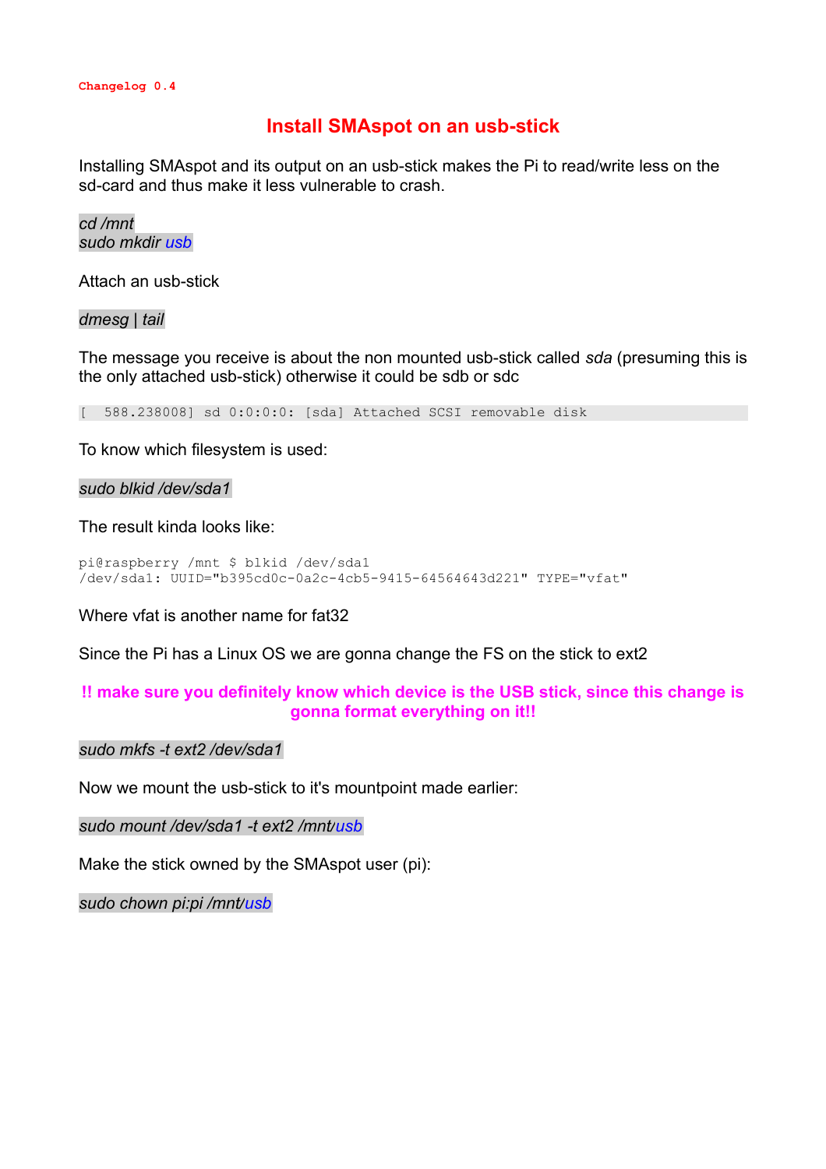## **Install SMAspot on an usb-stick**

Installing SMAspot and its output on an usb-stick makes the Pi to read/write less on the sd-card and thus make it less vulnerable to crash.

*cd /mnt sudo mkdir usb*

Attach an usb-stick

*dmesg | tail*

The message you receive is about the non mounted usb-stick called *sda* (presuming this is the only attached usb-stick) otherwise it could be sdb or sdc

[ 588.238008] sd 0:0:0:0: [sda] Attached SCSI removable disk

To know which filesystem is used:

#### *sudo blkid /dev/sda1*

The result kinda looks like:

```
pi@raspberry /mnt $ blkid /dev/sda1 
/dev/sda1: UUID="b395cd0c-0a2c-4cb5-9415-64564643d221" TYPE="vfat"
```
Where vfat is another name for fat32

Since the Pi has a Linux OS we are gonna change the FS on the stick to ext2

#### **!! make sure you definitely know which device is the USB stick, since this change is gonna format everything on it!!**

#### *sudo mkfs -t ext2 /dev/sda1*

Now we mount the usb-stick to it's mountpoint made earlier:

*sudo mount /dev/sda1 -t ext2 /mnt/usb*

Make the stick owned by the SMAspot user (pi):

*sudo chown pi:pi /mnt/usb*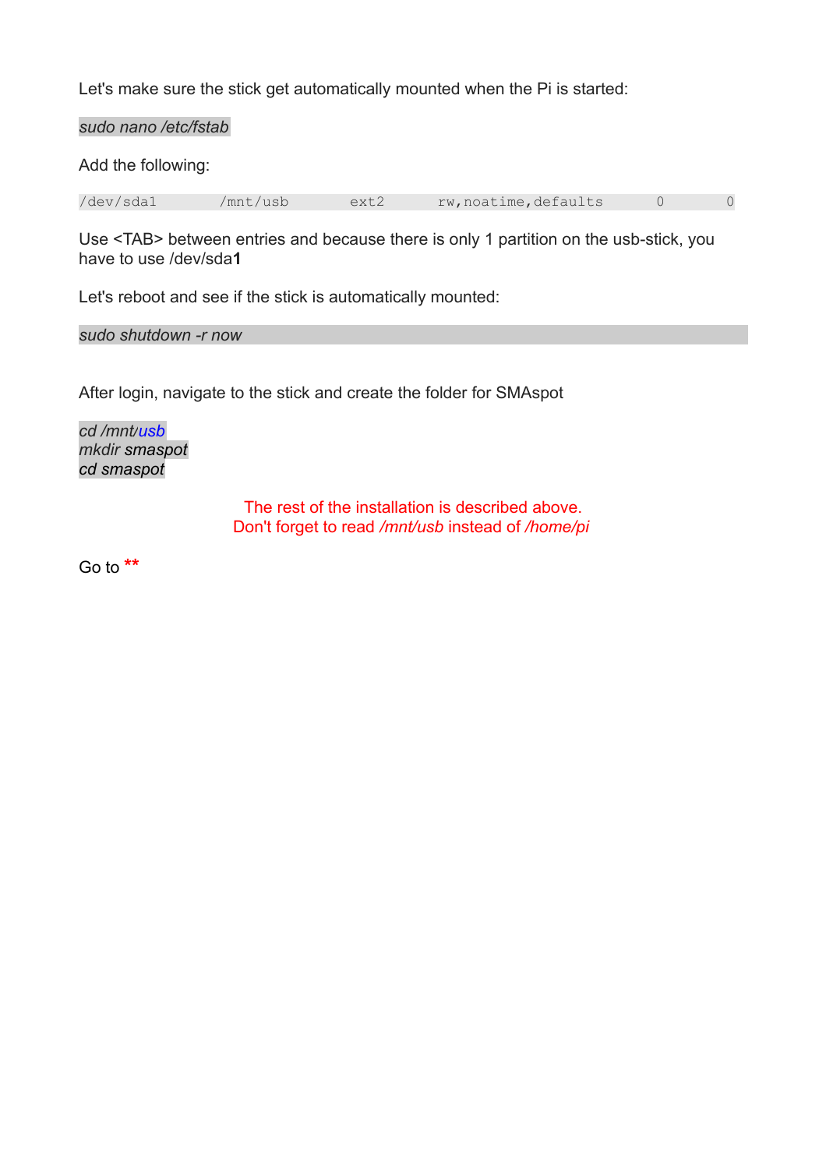Let's make sure the stick get automatically mounted when the Pi is started:

*sudo nano /etc/fstab*

Add the following:

/dev/sda1 /mnt/usb ext2 rw,noatime,defaults 0 0

Use <TAB> between entries and because there is only 1 partition on the usb-stick, you have to use /dev/sda**1**

Let's reboot and see if the stick is automatically mounted:

*sudo shutdown -r now*

After login, navigate to the stick and create the folder for SMAspot

*cd /mnt/usb mkdir smaspot cd smaspot*

> The rest of the installation is described above. Don't forget to read */mnt/usb* instead of */home/pi*

Go to **\*\***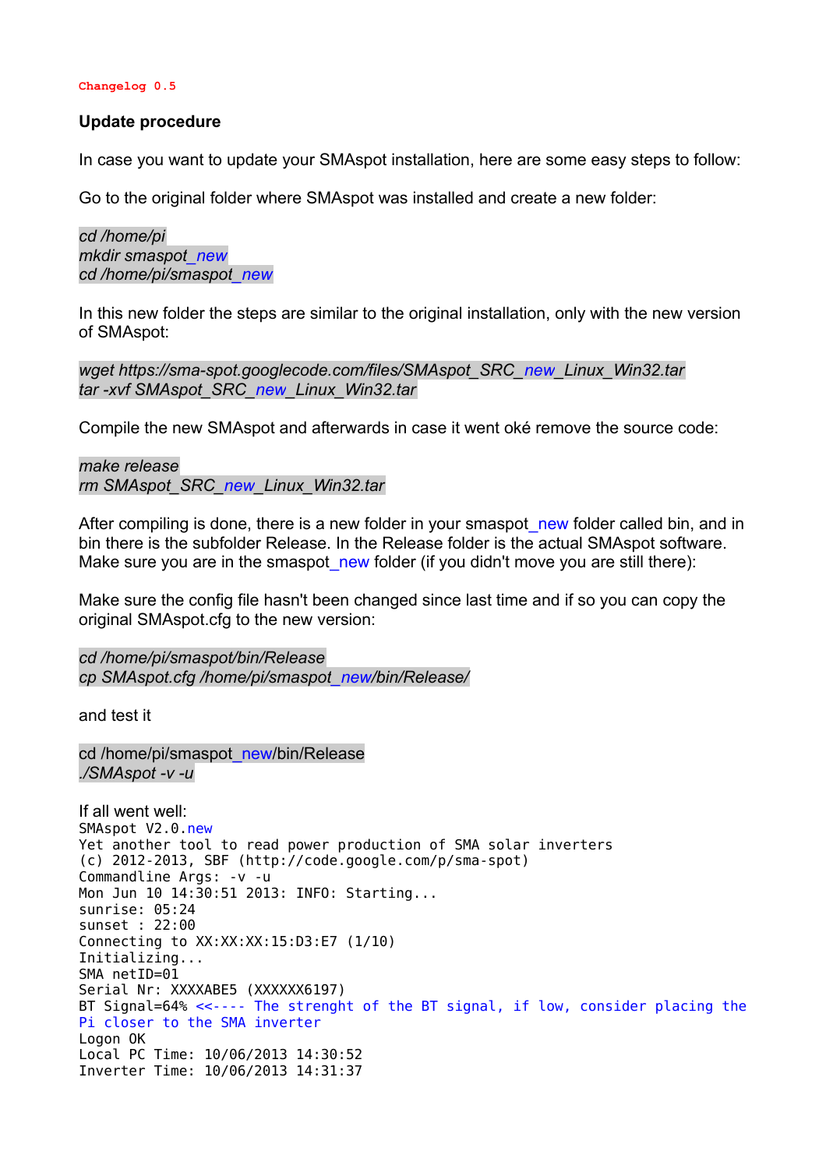#### **Changelog 0.5**

#### **Update procedure**

In case you want to update your SMAspot installation, here are some easy steps to follow:

Go to the original folder where SMAspot was installed and create a new folder:

*cd /home/pi mkdir smaspot\_new cd /home/pi/smaspot\_new*

In this new folder the steps are similar to the original installation, only with the new version of SMAspot:

*wget https://sma-spot.googlecode.com/files/SMAspot\_SRC\_new\_Linux\_Win32.tar tar -xvf SMAspot\_SRC\_new\_Linux\_Win32.tar*

Compile the new SMAspot and afterwards in case it went oké remove the source code:

*make release rm SMAspot\_SRC\_new\_Linux\_Win32.tar*

After compiling is done, there is a new folder in your smaspot new folder called bin, and in bin there is the subfolder Release. In the Release folder is the actual SMAspot software. Make sure you are in the smaspot new folder (if you didn't move you are still there):

Make sure the config file hasn't been changed since last time and if so you can copy the original SMAspot.cfg to the new version:

*cd /home/pi/smaspot/bin/Release cp SMAspot.cfg /home/pi/smaspot\_new/bin/Release/*

and test it

cd /home/pi/smaspot\_new/bin/Release *./SMAspot -v -u*

If all went well: SMAspot V2.0.new Yet another tool to read power production of SMA solar inverters (c) 2012-2013, SBF (http://code.google.com/p/sma-spot) Commandline Args: -v -u Mon Jun 10 14:30:51 2013: INFO: Starting... sunrise: 05:24 sunset : 22:00 Connecting to XX:XX:XX:15:D3:E7 (1/10) Initializing... SMA netID=01 Serial Nr: XXXXABE5 (XXXXXX6197) BT Signal=64% <<---- The strenght of the BT signal, if low, consider placing the Pi closer to the SMA inverter Logon OK Local PC Time: 10/06/2013 14:30:52 Inverter Time: 10/06/2013 14:31:37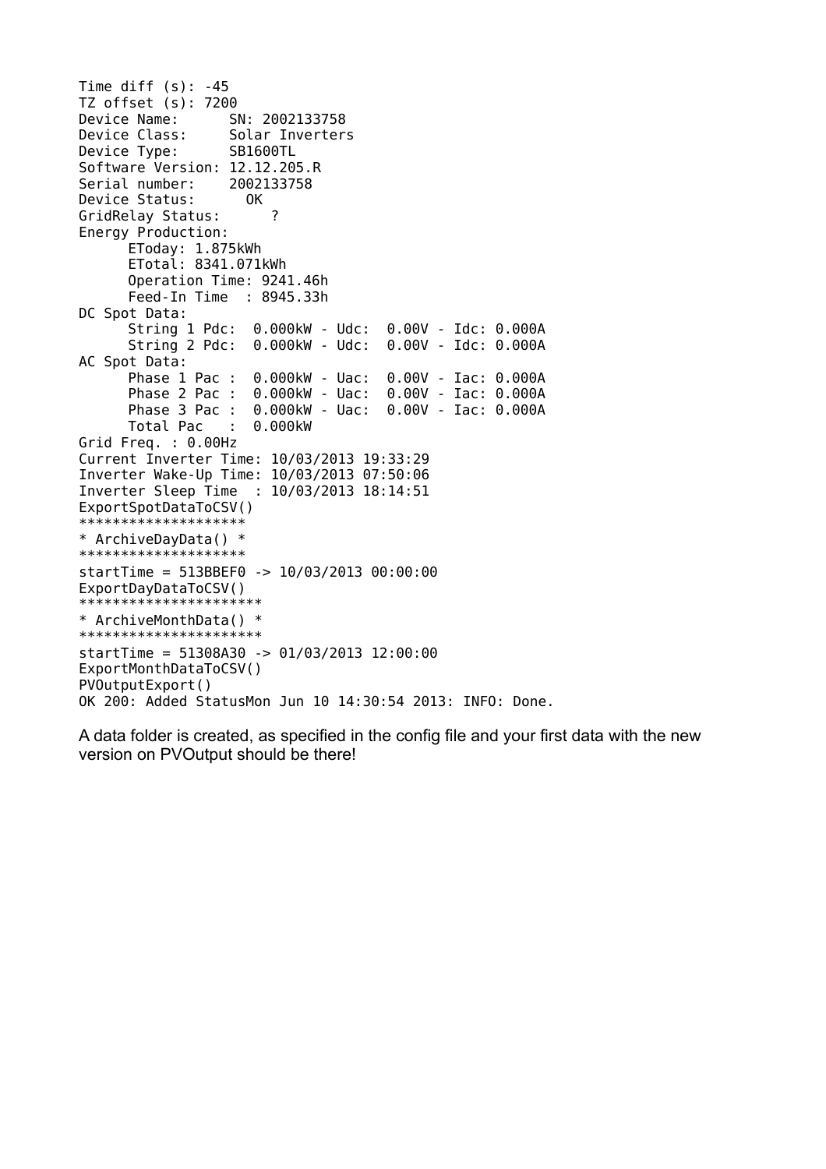```
Time diff (s): -45
TZ offset (s): 7200
Device Name: SN: 2002133758
Device Class: Solar Inverters
Device Type: SB1600TL
Software Version: 12.12.205.R
Serial number: 2002133758
Device Status: OK
GridRelay Status: ?
Energy Production:
      EToday: 1.875kWh
      ETotal: 8341.071kWh
     Operation Time: 9241.46h
     Feed-In Time : 8945.33h
DC Spot Data:
     String 1 Pdc: 0.000kW - Udc: 0.00V - Idc: 0.000A
      String 2 Pdc: 0.000kW - Udc: 0.00V - Idc: 0.000A
AC Spot Data:
     Phase 1 Pac : 0.000kW - Uac: 0.00V - Iac: 0.000A
     Phase 2 Pac : 0.000kW - Uac: 0.00V - Iac: 0.000A
     Phase 3 Pac : 0.000kW - Uac: 0.00V - Iac: 0.000A
     Total Pac : 0.000kW
Grid Freq. : 0.00Hz
Current Inverter Time: 10/03/2013 19:33:29
Inverter Wake-Up Time: 10/03/2013 07:50:06
Inverter Sleep Time : 10/03/2013 18:14:51
ExportSpotDataToCSV()
*******************
* ArchiveDayData() *
******************
startTime = 513BBEF0 -> 10/03/2013 00:00:00
ExportDayDataToCSV()
**********************
* ArchiveMonthData() *
**********************
startTime = 51308A30 -> 01/03/2013 12:00:00
ExportMonthDataToCSV()
PVOutputExport()
OK 200: Added StatusMon Jun 10 14:30:54 2013: INFO: Done.
```
A data folder is created, as specified in the config file and your first data with the new version on PVOutput should be there!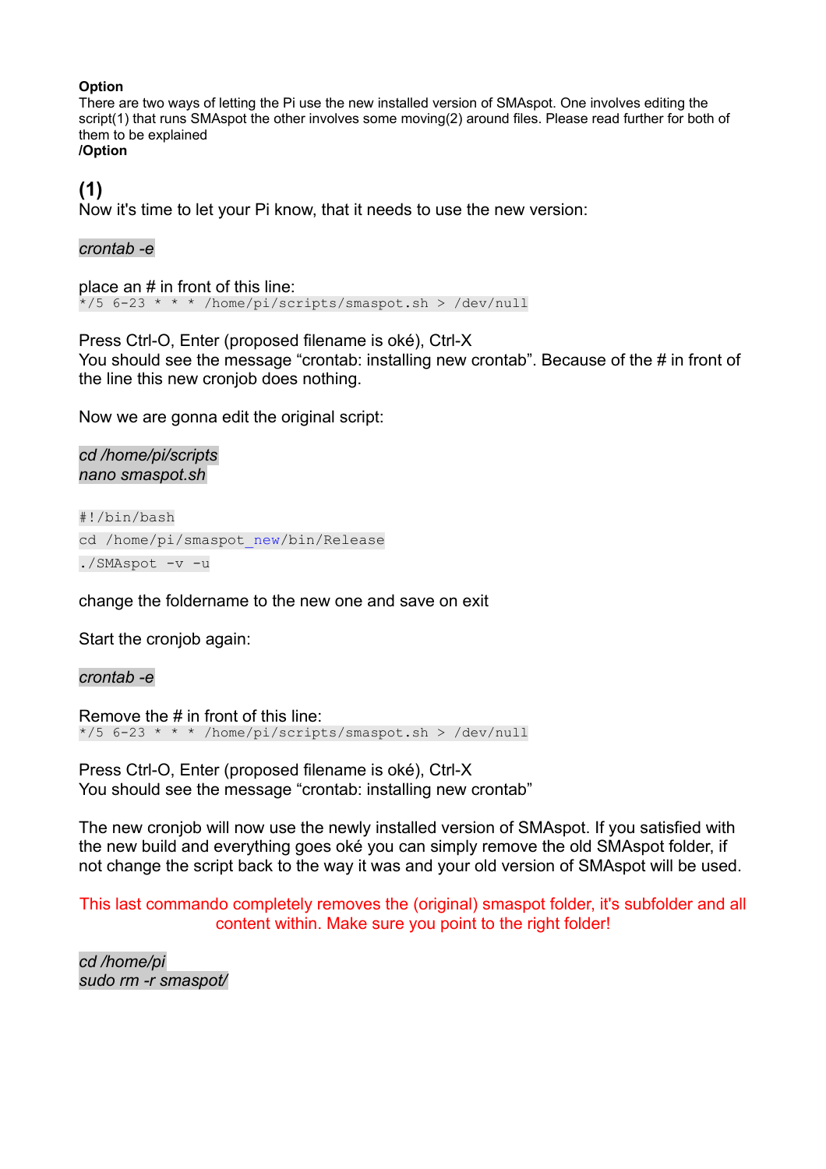#### **Option**

There are two ways of letting the Pi use the new installed version of SMAspot. One involves editing the script(1) that runs SMAspot the other involves some moving(2) around files. Please read further for both of them to be explained

## **/Option**

## **(1)**

Now it's time to let your Pi know, that it needs to use the new version:

### *crontab -e*

place an # in front of this line: \*/5 6-23 \* \* \* /home/pi/scripts/smaspot.sh > /dev/null

Press Ctrl-O, Enter (proposed filename is oké), Ctrl-X You should see the message "crontab: installing new crontab". Because of the # in front of the line this new cronjob does nothing.

Now we are gonna edit the original script:

*cd /home/pi/scripts nano smaspot.sh*

#!/bin/bash cd /home/pi/smaspot\_new/bin/Release ./SMAspot -v -u

change the foldername to the new one and save on exit

Start the cronjob again:

#### *crontab -e*

Remove the # in front of this line: \*/5 6-23 \* \* \* /home/pi/scripts/smaspot.sh > /dev/null

Press Ctrl-O, Enter (proposed filename is oké), Ctrl-X You should see the message "crontab: installing new crontab"

The new cronjob will now use the newly installed version of SMAspot. If you satisfied with the new build and everything goes oké you can simply remove the old SMAspot folder, if not change the script back to the way it was and your old version of SMAspot will be used.

This last commando completely removes the (original) smaspot folder, it's subfolder and all content within. Make sure you point to the right folder!

*cd /home/pi sudo rm -r smaspot/*